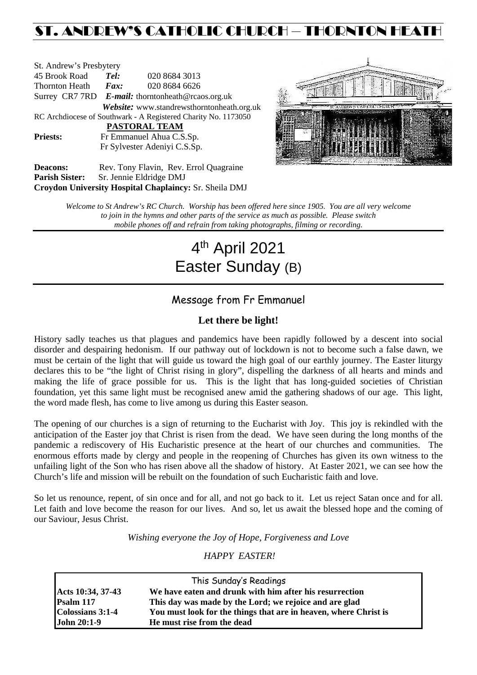## ST. ANDREW'S CATHOLIC CHURCH – THORNTON HEATH

| St. Andrew's Presbytery                                        |                              |                                                   |  |  |  |
|----------------------------------------------------------------|------------------------------|---------------------------------------------------|--|--|--|
| 45 Brook Road                                                  | Tel:                         | 020 8684 3013                                     |  |  |  |
| Thornton Heath                                                 | $\boldsymbol{F}$ <i>ax</i> : | 020 8684 6626                                     |  |  |  |
|                                                                |                              | Surrey CR7 7RD E-mail: thorntonheath@rcaos.org.uk |  |  |  |
|                                                                |                              | Website: www.standrewsthorntonheath.org.uk        |  |  |  |
| RC Archdiocese of Southwark - A Registered Charity No. 1173050 |                              |                                                   |  |  |  |
|                                                                |                              | PASTORAL TEAM                                     |  |  |  |
| <b>Priests:</b>                                                | Fr Emmanuel Ahua C.S.Sp.     |                                                   |  |  |  |
|                                                                |                              | Fr Sylvester Adeniyi C.S.Sp.                      |  |  |  |
| <b>Deacons:</b>                                                |                              | Rev. Tony Flavin, Rev. Errol Quagraine            |  |  |  |



Deacons: Rev. Tony Flavin, Rev. Errol Quagraine **Parish Sister:** Sr. Jennie Eldridge DMJ **Croydon University Hospital Chaplaincy:** Sr. Sheila DMJ

> *Welcome to St Andrew's RC Church. Worship has been offered here since 1905. You are all very welcome to join in the hymns and other parts of the service as much as possible. Please switch mobile phones off and refrain from taking photographs, filming or recording.*

# 4th April 2021 Easter Sunday (B)

## Message from Fr Emmanuel

#### **Let there be light!**

History sadly teaches us that plagues and pandemics have been rapidly followed by a descent into social disorder and despairing hedonism. If our pathway out of lockdown is not to become such a false dawn, we must be certain of the light that will guide us toward the high goal of our earthly journey. The Easter liturgy declares this to be "the light of Christ rising in glory", dispelling the darkness of all hearts and minds and making the life of grace possible for us. This is the light that has long-guided societies of Christian foundation, yet this same light must be recognised anew amid the gathering shadows of our age. This light, the word made flesh, has come to live among us during this Easter season.

The opening of our churches is a sign of returning to the Eucharist with Joy. This joy is rekindled with the anticipation of the Easter joy that Christ is risen from the dead. We have seen during the long months of the pandemic a rediscovery of His Eucharistic presence at the heart of our churches and communities. The enormous efforts made by clergy and people in the reopening of Churches has given its own witness to the unfailing light of the Son who has risen above all the shadow of history. At Easter 2021, we can see how the Church's life and mission will be rebuilt on the foundation of such Eucharistic faith and love.

So let us renounce, repent, of sin once and for all, and not go back to it. Let us reject Satan once and for all. Let faith and love become the reason for our lives. And so, let us await the blessed hope and the coming of our Saviour, Jesus Christ.

*Wishing everyone the Joy of Hope, Forgiveness and Love*

#### *HAPPY EASTER!*

|                    | This Sunday's Readings                                           |
|--------------------|------------------------------------------------------------------|
| Acts 10:34, 37-43  | We have eaten and drunk with him after his resurrection          |
| Psalm 117          | This day was made by the Lord; we rejoice and are glad           |
| Colossians 3:1-4   | You must look for the things that are in heaven, where Christ is |
| <b>John 20:1-9</b> | He must rise from the dead                                       |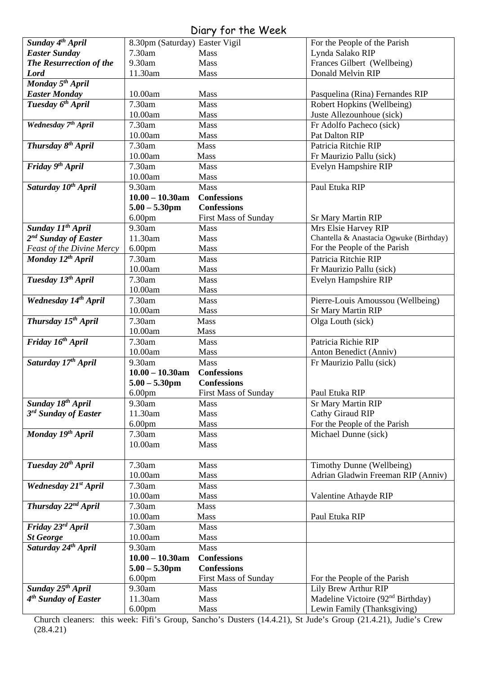## Diary for the Week

|                                  |                                | UNIY JUI IIIC WEEN          |                                                                              |
|----------------------------------|--------------------------------|-----------------------------|------------------------------------------------------------------------------|
| Sunday 4 <sup>th</sup> April     | 8.30pm (Saturday) Easter Vigil |                             | For the People of the Parish                                                 |
| <b>Easter Sunday</b>             | 7.30am                         | Mass                        | Lynda Salako RIP                                                             |
| The Resurrection of the          | 9.30am                         | <b>Mass</b>                 | Frances Gilbert (Wellbeing)                                                  |
| <b>Lord</b>                      | 11.30am                        | Mass                        | Donald Melvin RIP                                                            |
| Monday 5 <sup>th</sup> April     |                                |                             |                                                                              |
| <b>Easter Monday</b>             | 10.00am                        | Mass                        | Pasquelina (Rina) Fernandes RIP                                              |
| Tuesday 6 <sup>th</sup> April    | 7.30am                         | <b>Mass</b>                 | Robert Hopkins (Wellbeing)                                                   |
|                                  | 10.00am                        | Mass                        | Juste Allezounhoue (sick)                                                    |
| Wednesday 7th April              | 7.30am                         | Mass                        | Fr Adolfo Pacheco (sick)                                                     |
|                                  | 10.00am                        | Mass                        | Pat Dalton RIP                                                               |
| Thursday 8 <sup>th</sup> April   | 7.30am                         | <b>Mass</b>                 | Patricia Ritchie RIP                                                         |
|                                  | 10.00am                        | Mass                        | Fr Maurizio Pallu (sick)                                                     |
| Friday 9th April                 | 7.30am                         | Mass                        | Evelyn Hampshire RIP                                                         |
|                                  | 10.00am                        | Mass                        |                                                                              |
| Saturday 10 <sup>th</sup> April  | 9.30am                         | Mass                        | Paul Etuka RIP                                                               |
|                                  | $10.00 - 10.30$ am             | <b>Confessions</b>          |                                                                              |
|                                  | $5.00 - 5.30$ pm               | <b>Confessions</b>          |                                                                              |
|                                  | 6.00 <sub>pm</sub>             | <b>First Mass of Sunday</b> | <b>Sr Mary Martin RIP</b>                                                    |
| Sunday 11 <sup>th</sup> April    | 9.30am                         | <b>Mass</b>                 | Mrs Elsie Harvey RIP                                                         |
| 2 <sup>nd</sup> Sunday of Easter | 11.30am                        | Mass                        | Chantella & Anastacia Ogwuke (Birthday)                                      |
| <b>Feast of the Divine Mercy</b> | 6.00 <sub>pm</sub>             | Mass                        | For the People of the Parish                                                 |
| Monday 12 <sup>th</sup> April    | 7.30am                         | <b>Mass</b>                 | Patricia Ritchie RIP                                                         |
|                                  | 10.00am                        | Mass                        | Fr Maurizio Pallu (sick)                                                     |
| Tuesday 13 <sup>th</sup> April   | 7.30am                         | <b>Mass</b>                 | Evelyn Hampshire RIP                                                         |
|                                  | 10.00am                        | Mass                        |                                                                              |
| Wednesday 14th April             | 7.30am                         | Mass                        | Pierre-Louis Amoussou (Wellbeing)                                            |
|                                  | 10.00am                        | Mass                        | <b>Sr Mary Martin RIP</b>                                                    |
| Thursday 15th April              | 7.30am                         | Mass                        | Olga Louth (sick)                                                            |
|                                  | 10.00am                        | Mass                        |                                                                              |
| Friday 16 <sup>th</sup> April    | 7.30am<br>$10.00am$            | Mass                        | Patricia Richie RIP                                                          |
| Saturday 17th April              | 9.30am                         | Mass<br>Mass                | Anton Benedict (Anniv)<br>Fr Maurizio Pallu (sick)                           |
|                                  | $10.00 - 10.30$ am             | <b>Confessions</b>          |                                                                              |
|                                  | $5.00 - 5.30$ pm               | <b>Confessions</b>          |                                                                              |
|                                  |                                |                             |                                                                              |
|                                  |                                |                             |                                                                              |
|                                  | 6.00 <sub>pm</sub>             | First Mass of Sunday        | Paul Etuka RIP                                                               |
| Sunday 18 <sup>th</sup> April    | 9.30am                         | Mass                        | <b>Sr Mary Martin RIP</b>                                                    |
| 3 <sup>rd</sup> Sunday of Easter | 11.30am                        | <b>Mass</b>                 | Cathy Giraud RIP                                                             |
|                                  | 6.00 <sub>pm</sub>             | <b>Mass</b>                 | For the People of the Parish                                                 |
| Monday 19th April                | 7.30am<br>10.00am              | Mass<br>Mass                | Michael Dunne (sick)                                                         |
|                                  |                                |                             |                                                                              |
| Tuesday 20 <sup>th</sup> April   | 7.30am                         | <b>Mass</b>                 | Timothy Dunne (Wellbeing)                                                    |
|                                  | 10.00am                        | Mass                        | Adrian Gladwin Freeman RIP (Anniv)                                           |
| Wednesday 21 <sup>st</sup> April | 7.30am                         | Mass                        |                                                                              |
|                                  | 10.00am                        | Mass                        | Valentine Athayde RIP                                                        |
| Thursday 22 <sup>nd</sup> April  | 7.30am                         | Mass                        |                                                                              |
|                                  | 10.00am                        | Mass                        | Paul Etuka RIP                                                               |
| Friday 23rd April                | 7.30am                         | Mass                        |                                                                              |
| <b>St George</b>                 | 10.00am                        | Mass                        |                                                                              |
| Saturday 24th April              | 9.30am                         | Mass                        |                                                                              |
|                                  | $10.00 - 10.30$ am             | <b>Confessions</b>          |                                                                              |
|                                  | $5.00 - 5.30$ pm               | <b>Confessions</b>          |                                                                              |
|                                  | 6.00 <sub>pm</sub>             | <b>First Mass of Sunday</b> | For the People of the Parish                                                 |
| Sunday 25 <sup>th</sup> April    | 9.30am                         | <b>Mass</b>                 | Lily Brew Arthur RIP                                                         |
| 4 <sup>th</sup> Sunday of Easter | 11.30am<br>6.00 <sub>pm</sub>  | <b>Mass</b><br>Mass         | Madeline Victoire (92 <sup>nd</sup> Birthday)<br>Lewin Family (Thanksgiving) |

Church cleaners: this week: Fifi's Group, Sancho's Dusters (14.4.21), St Jude's Group (21.4.21), Judie's Crew (28.4.21)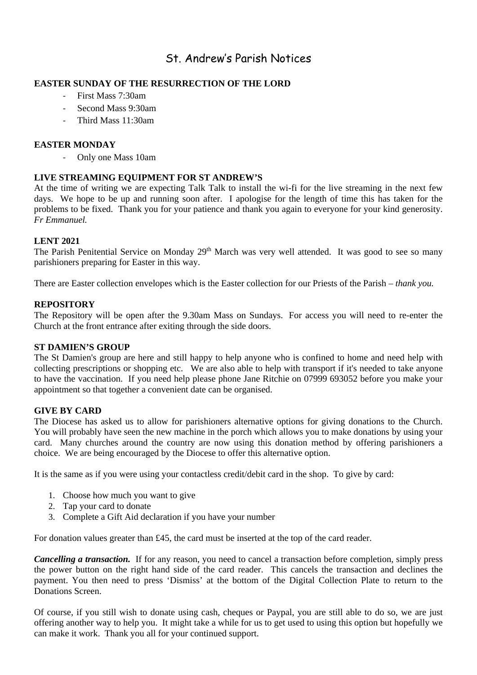## St. Andrew's Parish Notices

#### **EASTER SUNDAY OF THE RESURRECTION OF THE LORD**

- First Mass 7:30am
- Second Mass 9:30am
- Third Mass 11:30am

#### **EASTER MONDAY**

- Only one Mass 10am

#### **LIVE STREAMING EQUIPMENT FOR ST ANDREW'S**

At the time of writing we are expecting Talk Talk to install the wi-fi for the live streaming in the next few days. We hope to be up and running soon after. I apologise for the length of time this has taken for the problems to be fixed. Thank you for your patience and thank you again to everyone for your kind generosity. *Fr Emmanuel.*

#### **LENT 2021**

The Parish Penitential Service on Monday 29<sup>th</sup> March was very well attended. It was good to see so many parishioners preparing for Easter in this way.

There are Easter collection envelopes which is the Easter collection for our Priests of the Parish – *thank you.*

#### **REPOSITORY**

The Repository will be open after the 9.30am Mass on Sundays. For access you will need to re-enter the Church at the front entrance after exiting through the side doors.

#### **ST DAMIEN'S GROUP**

The St Damien's group are here and still happy to help anyone who is confined to home and need help with collecting prescriptions or shopping etc. We are also able to help with transport if it's needed to take anyone to have the vaccination. If you need help please phone Jane Ritchie on 07999 693052 before you make your appointment so that together a convenient date can be organised.

#### **GIVE BY CARD**

The Diocese has asked us to allow for parishioners alternative options for giving donations to the Church. You will probably have seen the new machine in the porch which allows you to make donations by using your card. Many churches around the country are now using this donation method by offering parishioners a choice. We are being encouraged by the Diocese to offer this alternative option.

It is the same as if you were using your contactless credit/debit card in the shop. To give by card:

- 1. Choose how much you want to give
- 2. Tap your card to donate
- 3. Complete a Gift Aid declaration if you have your number

For donation values greater than £45, the card must be inserted at the top of the card reader.

*Cancelling a transaction.* If for any reason, you need to cancel a transaction before completion, simply press the power button on the right hand side of the card reader. This cancels the transaction and declines the payment. You then need to press 'Dismiss' at the bottom of the Digital Collection Plate to return to the Donations Screen.

Of course, if you still wish to donate using cash, cheques or Paypal, you are still able to do so, we are just offering another way to help you. It might take a while for us to get used to using this option but hopefully we can make it work. Thank you all for your continued support.